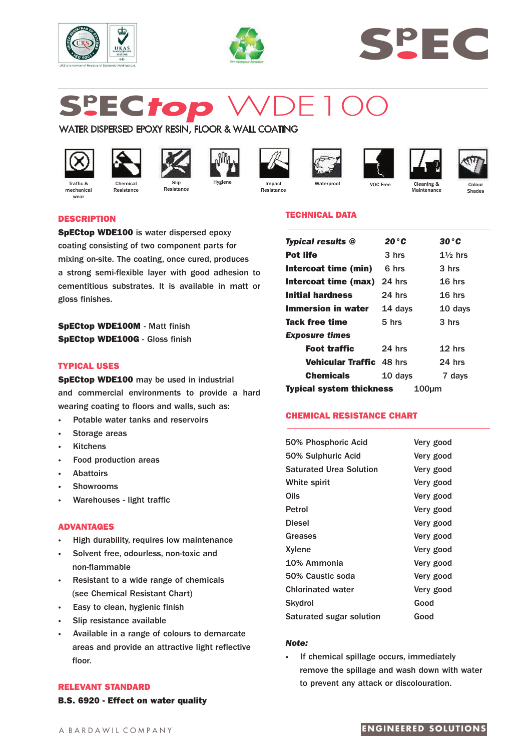





# **Sp EC***top* WDE100

# WATER DISPERSED EPOXY RESIN, FLOOR & WALL COATING

Slip **Resistance** 



mechanica wear



Resistance









VOC Free Cleaning &



Maintenance

Colour Shades

# **DESCRIPTION**

**SpECtop WDE100** is water dispersed epoxy coating consisting of two component parts for mixing on-site. The coating, once cured, produces a strong semi-flexible layer with good adhesion to cementitious substrates. It is available in matt or gloss finishes.

**SpECtop WDE100M** - Matt finish **SpECtop WDE100G** - Gloss finish

# **TYPICAL USES**

**SpECtop WDE100** may be used in industrial and commercial environments to provide a hard wearing coating to floors and walls, such as:

- **·** Potable water tanks and reservoirs
- **·** Storage areas
- **·** Kitchens
- **·** Food production areas
- **·** Abattoirs
- **·** Showrooms
- **·** Warehouses light traffic

## **ADVANTAGES**

- **·** High durability, requires low maintenance
- **·** Solvent free, odourless, non-toxic and non-flammable
- **·** Resistant to a wide range of chemicals (see Chemical Resistant Chart)
- **·** Easy to clean, hygienic finish
- **Slip resistance available**
- **·** Available in a range of colours to demarcate areas and provide an attractive light reflective floor.

## **RELEVANT STANDARD**

**B.S. 6920 - Effect on water quality**

# **TECHNICAL DATA**

| <b>Typical results @</b>                 | 20 ° C   | $30\degree$ C      |
|------------------------------------------|----------|--------------------|
| <b>Pot life</b>                          | 3 hrs    | $1\frac{1}{2}$ hrs |
| Intercoat time (min)                     | հ hrs    | 3 hrs              |
| <b>Intercoat time (max)</b> 24 hrs       |          | $16$ hrs           |
| Initial hardness                         | 24 hrs   | $16$ hrs           |
| Immersion in water                       | 14 days  | 10 days            |
| Tack free time                           | $5$ hrs  | 3 <sub>h</sub>     |
| <i><b>Exposure times</b></i>             |          |                    |
| <b>Foot traffic</b>                      | $24$ hrs | $12$ hrs           |
| <b>Vehicular Traffic 48 hrs</b>          |          | $24$ hrs           |
| <b>Chemicals</b>                         | 10 days  | 7 days             |
| <b>Typical system thickness</b><br>100µm |          |                    |

# **CHEMICAL RESISTANCE CHART**

| 50% Phosphoric Acid            | Very good |
|--------------------------------|-----------|
| 50% Sulphuric Acid             | Very good |
| <b>Saturated Urea Solution</b> | Very good |
| White spirit                   | Very good |
| Oils                           | Very good |
| Petrol                         | Very good |
| Diesel                         | Very good |
| Greases                        | Very good |
| Xylene                         | Very good |
| 10% Ammonia                    | Very good |
| 50% Caustic soda               | Very good |
| <b>Chlorinated water</b>       | Very good |
| Skydrol                        | Good      |
| Saturated sugar solution       | Good      |
|                                |           |

## *Note:*

**·** If chemical spillage occurs, immediately remove the spillage and wash down with water to prevent any attack or discolouration.

# **ENGINEERED SOLUTIONS**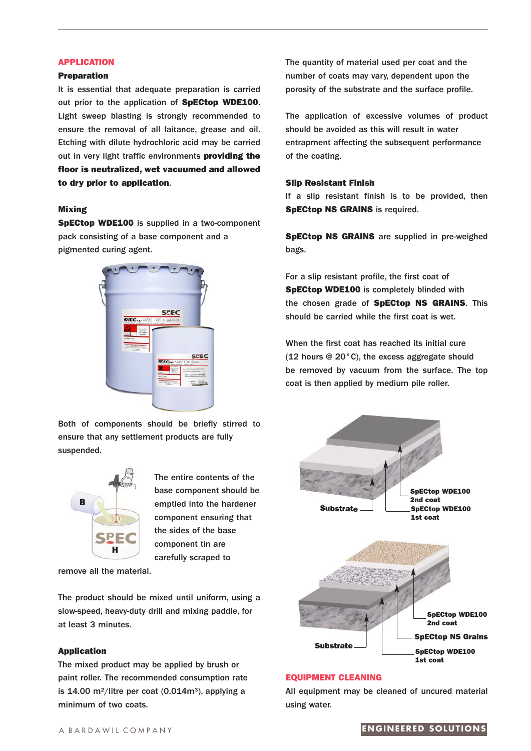#### **APPLICATION**

#### **Preparation**

It is essential that adequate preparation is carried out prior to the application of **SpECtop WDE100**. Light sweep blasting is strongly recommended to ensure the removal of all laitance, grease and oil. Etching with dilute hydrochloric acid may be carried out in very light traffic environments **providing the floor is neutralized, wet vacuumed and allowed to dry prior to application**.

#### **Mixing**

**SpECtop WDE100** is supplied in a two-component pack consisting of a base component and a pigmented curing agent.



Both of components should be briefly stirred to ensure that any settlement products are fully suspended.



The entire contents of the base component should be emptied into the hardener component ensuring that the sides of the base component tin are carefully scraped to

remove all the material.

The product should be mixed until uniform, using a slow-speed, heavy-duty drill and mixing paddle, for at least 3 minutes.

# **Application**

The mixed product may be applied by brush or paint roller. The recommended consumption rate is 14.00 m<sup>2</sup>/litre per coat  $(0.014m<sup>3</sup>)$ , applying a minimum of two coats.

The quantity of material used per coat and the number of coats may vary, dependent upon the porosity of the substrate and the surface profile.

The application of excessive volumes of product should be avoided as this will result in water entrapment affecting the subsequent performance of the coating.

#### **Slip Resistant Finish**

If a slip resistant finish is to be provided, then **SpECtop NS GRAINS** is required.

**SpECtop NS GRAINS** are supplied in pre-weighed bags.

For a slip resistant profile, the first coat of **SpECtop WDE100** is completely blinded with the chosen grade of **SpECtop NS GRAINS**. This should be carried while the first coat is wet.

When the first coat has reached its initial cure (12 hours @ 20°C), the excess aggregate should be removed by vacuum from the surface. The top coat is then applied by medium pile roller.



# **EQUIPMENT CLEANING**

All equipment may be cleaned of uncured material using water.

#### A B A R D A W I L C O M P A N Y **ENG IN E ER E D SO L U T ION S**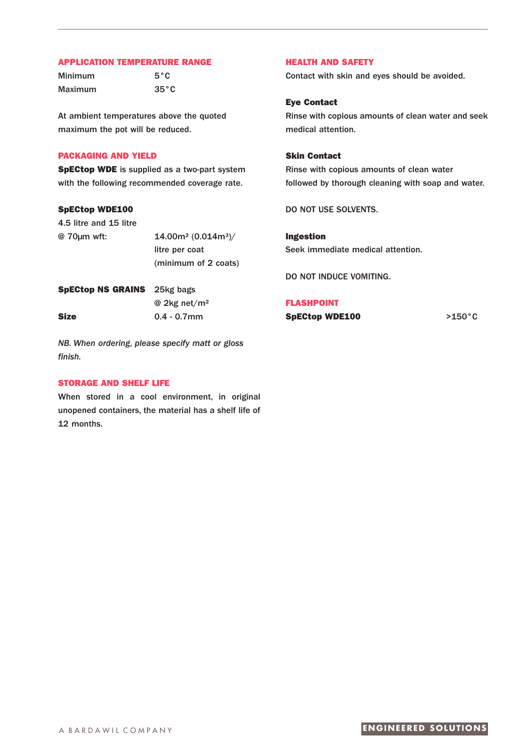#### **APPLICATION TEMPERATURE RANGE**

Minimum 5°C Maximum 35°C

At ambient temperatures above the quoted maximum the pot will be reduced.

# **PACKAGING AND YIELD**

**SpECtop WDE** is supplied as a two-part system with the following recommended coverage rate.

# **SpECtop WDE100**

4.5 litre and 15 litre @ 70µm wft: 14.00m² (0.014m³)/ litre per coat (minimum of 2 coats) **SpECtop NS GRAINS** 25kg bags

@ 2kg net/m²

*NB. When ordering, please specify matt or gloss finish.*

**Size** 0.4 - 0.7mm

#### **STORAGE AND SHELF LIFE**

When stored in a cool environment, in original unopened containers, the material has a shelf life of 12 months.

# **HEALTH AND SAFETY**

Contact with skin and eyes should be avoided.

# **Eye Contact**

Rinse with copious amounts of clean water and seek medical attention.

# **Skin Contact**

Rinse with copious amounts of clean water followed by thorough cleaning with soap and water.

DO NOT USE SOLVENTS.

**Ingestion** Seek immediate medical attention.

DO NOT INDUCE VOMITING.

#### **FLASHPOINT**

**SpECtop WDE100** >150°C